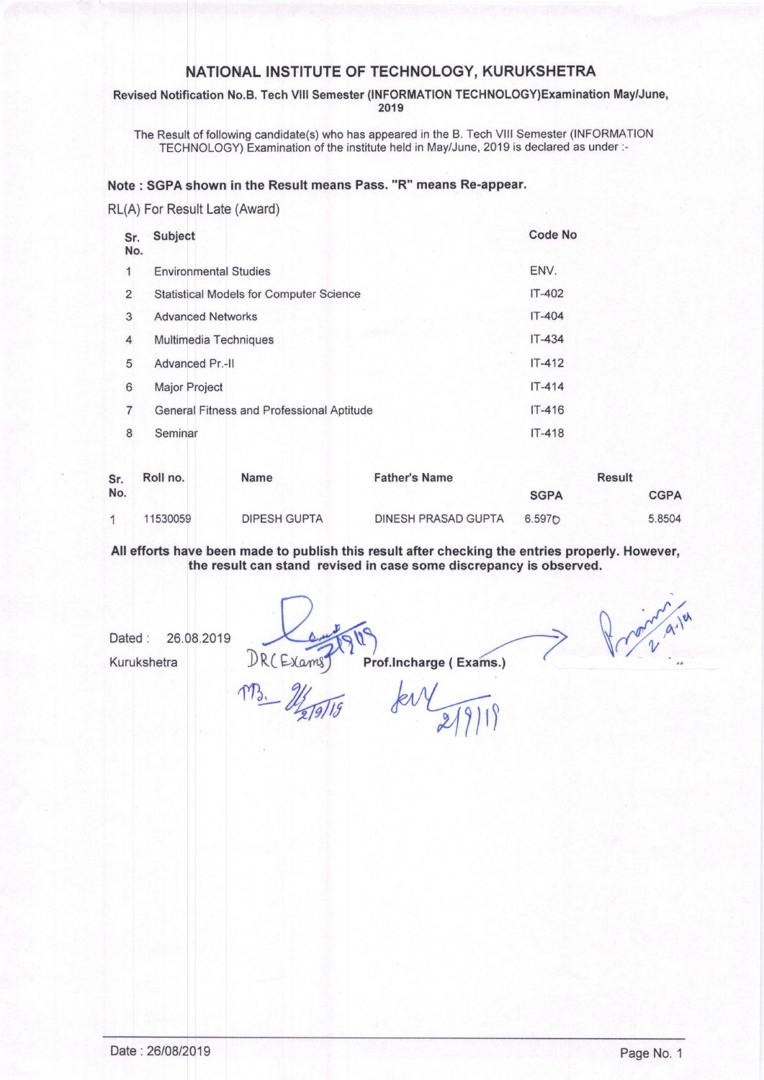### NATIONAL INSTITUTE OF TECHNOLOGY, KURUKSHETRA

Revised Notification No.B. Tech VIII Semester (INFORMATION TECHNOLOGY)Examination May/June, 2019

The Result of following candidate(s) who has appeared in the B. Tech VIII Semester (INFORMATION TECHNOLOGY) Examination of the institute held in May/June, 2019 is declared as under :-

#### Note: SGPA shown in the Result means Pass. "R" means Re-appear.

### RL(A) For Result Late (Award)

| Sr.<br>No.     | Subject                                          | <b>Code No</b> |
|----------------|--------------------------------------------------|----------------|
| 1              | <b>Environmental Studies</b>                     | ENV.           |
| 2              | <b>Statistical Models for Computer Science</b>   | $IT-402$       |
| 3              | <b>Advanced Networks</b>                         | $IT-404$       |
| 4              | Multimedia Techniques                            | $IT-434$       |
| 5              | Advanced Pr.-II                                  | $IT-412$       |
| 6              | Major Project                                    | $IT - 414$     |
| $\overline{7}$ | <b>General Fitness and Professional Aptitude</b> | $IT-416$       |
| 8              | Seminar                                          | $IT-418$       |
|                |                                                  |                |

| Sr. | Roll no. | <b>Name</b>         | <b>Father's Name</b> |                    |  | Result      |
|-----|----------|---------------------|----------------------|--------------------|--|-------------|
| No. |          |                     |                      | <b>SGPA</b>        |  | <b>CGPA</b> |
|     | 11530059 | <b>DIPESH GUPTA</b> | DINESH PRASAD GUPTA  | 6.597 <sub>D</sub> |  | 5.8504      |

All efforts have been made to publish this result after checking the entries properly. However, the result can stand revised in case some discrepancy is observed.

Dated: 26.08.2019

Kurukshetra

DR(Exams)

Prof.Incharge (Exams.)

Promine 21 d. 121

MB. Moralis

fer